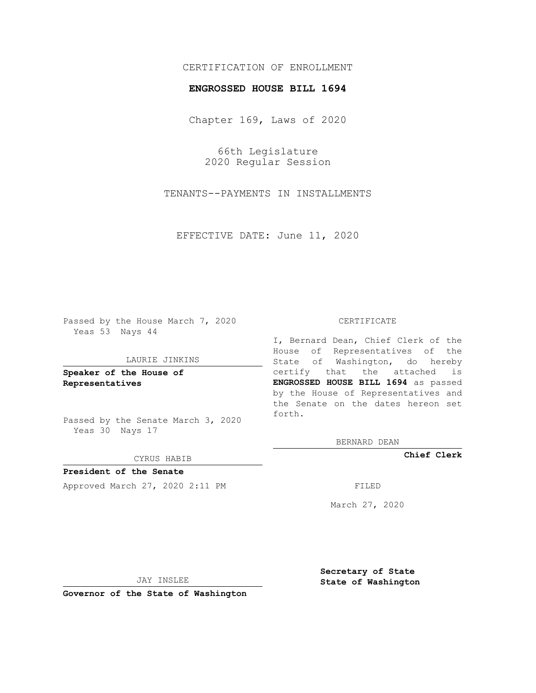# CERTIFICATION OF ENROLLMENT

## **ENGROSSED HOUSE BILL 1694**

Chapter 169, Laws of 2020

66th Legislature 2020 Regular Session

TENANTS--PAYMENTS IN INSTALLMENTS

EFFECTIVE DATE: June 11, 2020

Passed by the House March 7, 2020 Yeas 53 Nays 44

#### LAURIE JINKINS

**Speaker of the House of Representatives**

Passed by the Senate March 3, 2020 Yeas 30 Nays 17

#### CYRUS HABIB

**President of the Senate** Approved March 27, 2020 2:11 PM FILED

#### CERTIFICATE

I, Bernard Dean, Chief Clerk of the House of Representatives of the State of Washington, do hereby certify that the attached is **ENGROSSED HOUSE BILL 1694** as passed by the House of Representatives and the Senate on the dates hereon set forth.

BERNARD DEAN

**Chief Clerk**

March 27, 2020

JAY INSLEE

**Governor of the State of Washington**

**Secretary of State State of Washington**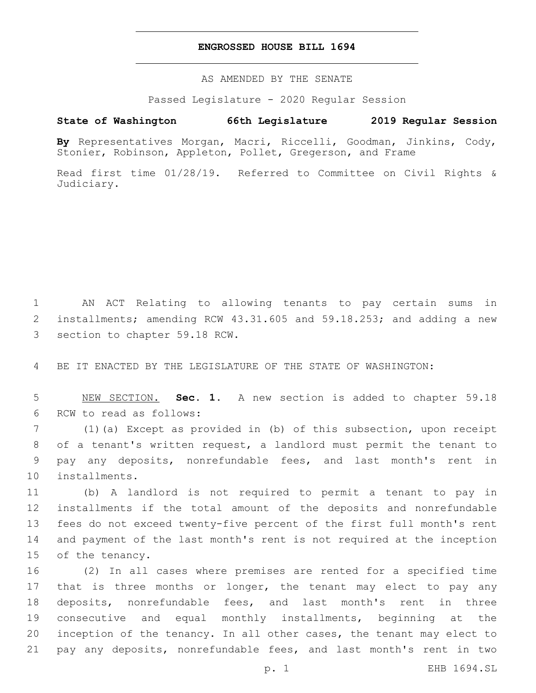## **ENGROSSED HOUSE BILL 1694**

AS AMENDED BY THE SENATE

Passed Legislature - 2020 Regular Session

# **State of Washington 66th Legislature 2019 Regular Session**

**By** Representatives Morgan, Macri, Riccelli, Goodman, Jinkins, Cody, Stonier, Robinson, Appleton, Pollet, Gregerson, and Frame

Read first time 01/28/19. Referred to Committee on Civil Rights & Judiciary.

1 AN ACT Relating to allowing tenants to pay certain sums in 2 installments; amending RCW 43.31.605 and 59.18.253; and adding a new 3 section to chapter 59.18 RCW.

4 BE IT ENACTED BY THE LEGISLATURE OF THE STATE OF WASHINGTON:

5 NEW SECTION. **Sec. 1.** A new section is added to chapter 59.18 6 RCW to read as follows:

 (1)(a) Except as provided in (b) of this subsection, upon receipt of a tenant's written request, a landlord must permit the tenant to pay any deposits, nonrefundable fees, and last month's rent in 10 installments.

 (b) A landlord is not required to permit a tenant to pay in installments if the total amount of the deposits and nonrefundable fees do not exceed twenty-five percent of the first full month's rent and payment of the last month's rent is not required at the inception 15 of the tenancy.

 (2) In all cases where premises are rented for a specified time 17 that is three months or longer, the tenant may elect to pay any deposits, nonrefundable fees, and last month's rent in three consecutive and equal monthly installments, beginning at the inception of the tenancy. In all other cases, the tenant may elect to pay any deposits, nonrefundable fees, and last month's rent in two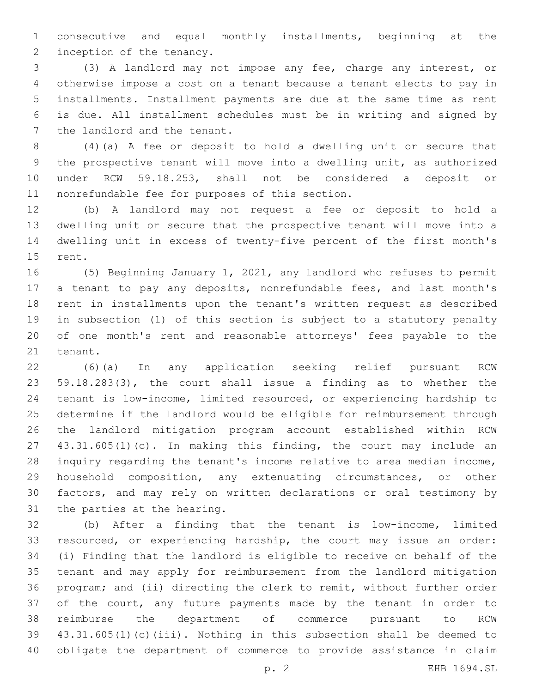consecutive and equal monthly installments, beginning at the 2 inception of the tenancy.

 (3) A landlord may not impose any fee, charge any interest, or otherwise impose a cost on a tenant because a tenant elects to pay in installments. Installment payments are due at the same time as rent is due. All installment schedules must be in writing and signed by 7 the landlord and the tenant.

 (4)(a) A fee or deposit to hold a dwelling unit or secure that the prospective tenant will move into a dwelling unit, as authorized under RCW 59.18.253, shall not be considered a deposit or 11 nonrefundable fee for purposes of this section.

 (b) A landlord may not request a fee or deposit to hold a dwelling unit or secure that the prospective tenant will move into a dwelling unit in excess of twenty-five percent of the first month's 15 rent.

 (5) Beginning January 1, 2021, any landlord who refuses to permit a tenant to pay any deposits, nonrefundable fees, and last month's rent in installments upon the tenant's written request as described in subsection (1) of this section is subject to a statutory penalty of one month's rent and reasonable attorneys' fees payable to the 21 tenant.

 (6)(a) In any application seeking relief pursuant RCW 59.18.283(3), the court shall issue a finding as to whether the tenant is low-income, limited resourced, or experiencing hardship to determine if the landlord would be eligible for reimbursement through the landlord mitigation program account established within RCW 43.31.605(1)(c). In making this finding, the court may include an inquiry regarding the tenant's income relative to area median income, household composition, any extenuating circumstances, or other factors, and may rely on written declarations or oral testimony by 31 the parties at the hearing.

 (b) After a finding that the tenant is low-income, limited resourced, or experiencing hardship, the court may issue an order: (i) Finding that the landlord is eligible to receive on behalf of the tenant and may apply for reimbursement from the landlord mitigation program; and (ii) directing the clerk to remit, without further order of the court, any future payments made by the tenant in order to reimburse the department of commerce pursuant to RCW 43.31.605(1)(c)(iii). Nothing in this subsection shall be deemed to obligate the department of commerce to provide assistance in claim

p. 2 EHB 1694.SL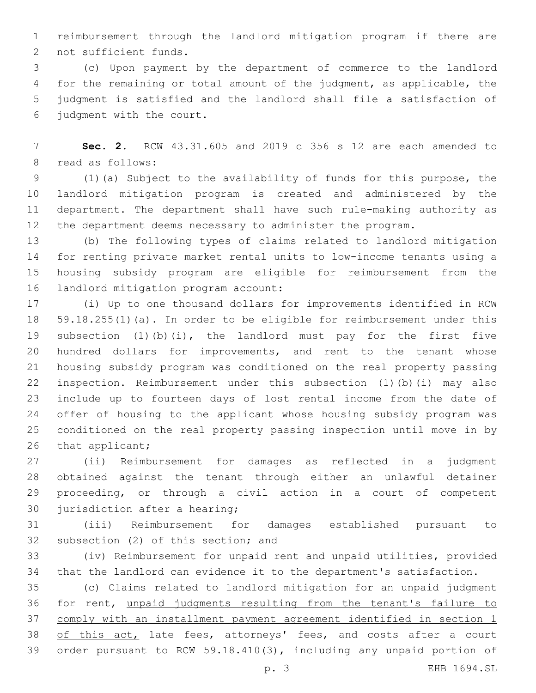reimbursement through the landlord mitigation program if there are 2 not sufficient funds.

 (c) Upon payment by the department of commerce to the landlord for the remaining or total amount of the judgment, as applicable, the judgment is satisfied and the landlord shall file a satisfaction of judgment with the court.

 **Sec. 2.** RCW 43.31.605 and 2019 c 356 s 12 are each amended to 8 read as follows:

 (1)(a) Subject to the availability of funds for this purpose, the landlord mitigation program is created and administered by the department. The department shall have such rule-making authority as the department deems necessary to administer the program.

 (b) The following types of claims related to landlord mitigation for renting private market rental units to low-income tenants using a housing subsidy program are eligible for reimbursement from the 16 landlord mitigation program account:

 (i) Up to one thousand dollars for improvements identified in RCW 59.18.255(1)(a). In order to be eligible for reimbursement under this subsection (1)(b)(i), the landlord must pay for the first five hundred dollars for improvements, and rent to the tenant whose housing subsidy program was conditioned on the real property passing inspection. Reimbursement under this subsection (1)(b)(i) may also include up to fourteen days of lost rental income from the date of offer of housing to the applicant whose housing subsidy program was conditioned on the real property passing inspection until move in by 26 that applicant;

 (ii) Reimbursement for damages as reflected in a judgment obtained against the tenant through either an unlawful detainer proceeding, or through a civil action in a court of competent 30 jurisdiction after a hearing;

 (iii) Reimbursement for damages established pursuant to 32 subsection (2) of this section; and

 (iv) Reimbursement for unpaid rent and unpaid utilities, provided that the landlord can evidence it to the department's satisfaction.

 (c) Claims related to landlord mitigation for an unpaid judgment for rent, unpaid judgments resulting from the tenant's failure to comply with an installment payment agreement identified in section 1 38 of this act, late fees, attorneys' fees, and costs after a court order pursuant to RCW 59.18.410(3), including any unpaid portion of

p. 3 EHB 1694.SL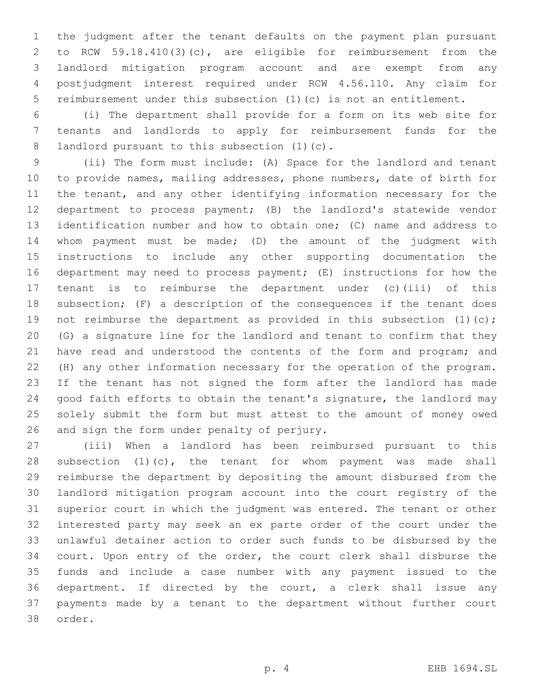the judgment after the tenant defaults on the payment plan pursuant to RCW 59.18.410(3)(c), are eligible for reimbursement from the landlord mitigation program account and are exempt from any postjudgment interest required under RCW 4.56.110. Any claim for reimbursement under this subsection (1)(c) is not an entitlement.

 (i) The department shall provide for a form on its web site for tenants and landlords to apply for reimbursement funds for the 8 landlord pursuant to this subsection (1)(c).

 (ii) The form must include: (A) Space for the landlord and tenant to provide names, mailing addresses, phone numbers, date of birth for the tenant, and any other identifying information necessary for the department to process payment; (B) the landlord's statewide vendor identification number and how to obtain one; (C) name and address to whom payment must be made; (D) the amount of the judgment with instructions to include any other supporting documentation the department may need to process payment; (E) instructions for how the tenant is to reimburse the department under (c)(iii) of this subsection; (F) a description of the consequences if the tenant does 19 not reimburse the department as provided in this subsection (1)(c); (G) a signature line for the landlord and tenant to confirm that they 21 have read and understood the contents of the form and program; and (H) any other information necessary for the operation of the program. If the tenant has not signed the form after the landlord has made good faith efforts to obtain the tenant's signature, the landlord may solely submit the form but must attest to the amount of money owed 26 and sign the form under penalty of perjury.

 (iii) When a landlord has been reimbursed pursuant to this subsection (1)(c), the tenant for whom payment was made shall reimburse the department by depositing the amount disbursed from the landlord mitigation program account into the court registry of the superior court in which the judgment was entered. The tenant or other interested party may seek an ex parte order of the court under the unlawful detainer action to order such funds to be disbursed by the court. Upon entry of the order, the court clerk shall disburse the funds and include a case number with any payment issued to the department. If directed by the court, a clerk shall issue any payments made by a tenant to the department without further court 38 order.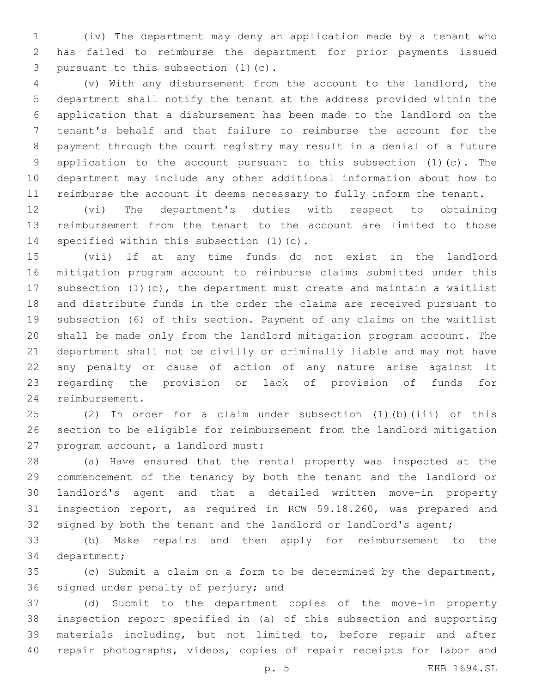(iv) The department may deny an application made by a tenant who has failed to reimburse the department for prior payments issued 3 pursuant to this subsection (1)(c).

 (v) With any disbursement from the account to the landlord, the department shall notify the tenant at the address provided within the application that a disbursement has been made to the landlord on the tenant's behalf and that failure to reimburse the account for the payment through the court registry may result in a denial of a future application to the account pursuant to this subsection (1)(c). The department may include any other additional information about how to reimburse the account it deems necessary to fully inform the tenant.

 (vi) The department's duties with respect to obtaining reimbursement from the tenant to the account are limited to those 14 specified within this subsection (1)(c).

 (vii) If at any time funds do not exist in the landlord mitigation program account to reimburse claims submitted under this subsection (1)(c), the department must create and maintain a waitlist and distribute funds in the order the claims are received pursuant to subsection (6) of this section. Payment of any claims on the waitlist shall be made only from the landlord mitigation program account. The department shall not be civilly or criminally liable and may not have any penalty or cause of action of any nature arise against it regarding the provision or lack of provision of funds for 24 reimbursement.

 (2) In order for a claim under subsection (1)(b)(iii) of this section to be eligible for reimbursement from the landlord mitigation 27 program account, a landlord must:

 (a) Have ensured that the rental property was inspected at the commencement of the tenancy by both the tenant and the landlord or landlord's agent and that a detailed written move-in property inspection report, as required in RCW 59.18.260, was prepared and 32 signed by both the tenant and the landlord or landlord's agent;

 (b) Make repairs and then apply for reimbursement to the 34 department;

 (c) Submit a claim on a form to be determined by the department, 36 signed under penalty of perjury; and

 (d) Submit to the department copies of the move-in property inspection report specified in (a) of this subsection and supporting materials including, but not limited to, before repair and after repair photographs, videos, copies of repair receipts for labor and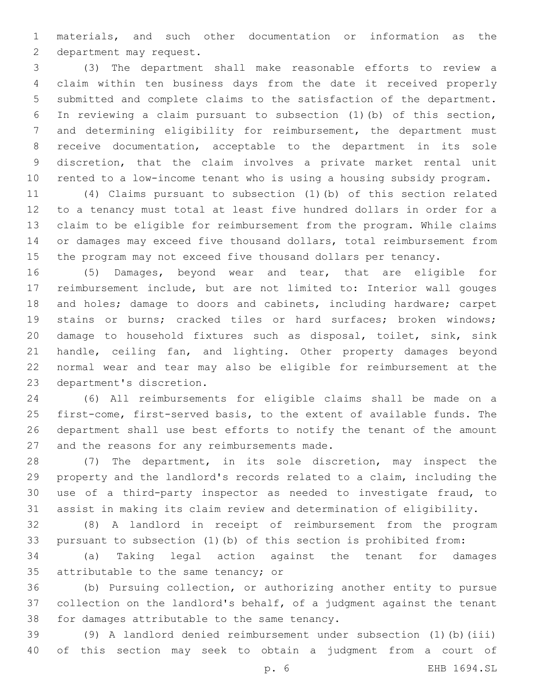materials, and such other documentation or information as the 2 department may request.

 (3) The department shall make reasonable efforts to review a claim within ten business days from the date it received properly submitted and complete claims to the satisfaction of the department. In reviewing a claim pursuant to subsection (1)(b) of this section, and determining eligibility for reimbursement, the department must receive documentation, acceptable to the department in its sole discretion, that the claim involves a private market rental unit rented to a low-income tenant who is using a housing subsidy program.

 (4) Claims pursuant to subsection (1)(b) of this section related to a tenancy must total at least five hundred dollars in order for a claim to be eligible for reimbursement from the program. While claims or damages may exceed five thousand dollars, total reimbursement from the program may not exceed five thousand dollars per tenancy.

 (5) Damages, beyond wear and tear, that are eligible for reimbursement include, but are not limited to: Interior wall gouges and holes; damage to doors and cabinets, including hardware; carpet 19 stains or burns; cracked tiles or hard surfaces; broken windows; damage to household fixtures such as disposal, toilet, sink, sink 21 handle, ceiling fan, and lighting. Other property damages beyond normal wear and tear may also be eligible for reimbursement at the 23 department's discretion.

 (6) All reimbursements for eligible claims shall be made on a first-come, first-served basis, to the extent of available funds. The department shall use best efforts to notify the tenant of the amount 27 and the reasons for any reimbursements made.

 (7) The department, in its sole discretion, may inspect the property and the landlord's records related to a claim, including the use of a third-party inspector as needed to investigate fraud, to assist in making its claim review and determination of eligibility.

 (8) A landlord in receipt of reimbursement from the program pursuant to subsection (1)(b) of this section is prohibited from:

 (a) Taking legal action against the tenant for damages 35 attributable to the same tenancy; or

 (b) Pursuing collection, or authorizing another entity to pursue collection on the landlord's behalf, of a judgment against the tenant 38 for damages attributable to the same tenancy.

 (9) A landlord denied reimbursement under subsection (1)(b)(iii) of this section may seek to obtain a judgment from a court of

p. 6 EHB 1694.SL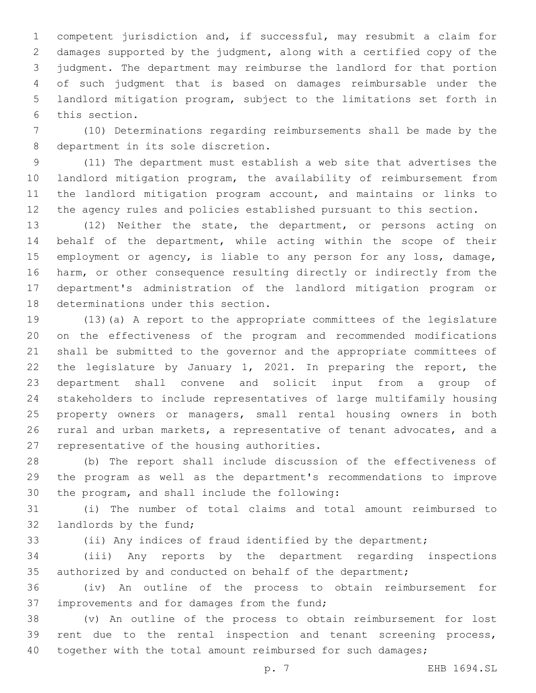competent jurisdiction and, if successful, may resubmit a claim for damages supported by the judgment, along with a certified copy of the judgment. The department may reimburse the landlord for that portion of such judgment that is based on damages reimbursable under the landlord mitigation program, subject to the limitations set forth in 6 this section.

 (10) Determinations regarding reimbursements shall be made by the 8 department in its sole discretion.

 (11) The department must establish a web site that advertises the landlord mitigation program, the availability of reimbursement from the landlord mitigation program account, and maintains or links to the agency rules and policies established pursuant to this section.

 (12) Neither the state, the department, or persons acting on behalf of the department, while acting within the scope of their employment or agency, is liable to any person for any loss, damage, harm, or other consequence resulting directly or indirectly from the department's administration of the landlord mitigation program or 18 determinations under this section.

 (13)(a) A report to the appropriate committees of the legislature on the effectiveness of the program and recommended modifications shall be submitted to the governor and the appropriate committees of the legislature by January 1, 2021. In preparing the report, the department shall convene and solicit input from a group of stakeholders to include representatives of large multifamily housing property owners or managers, small rental housing owners in both rural and urban markets, a representative of tenant advocates, and a 27 representative of the housing authorities.

 (b) The report shall include discussion of the effectiveness of the program as well as the department's recommendations to improve 30 the program, and shall include the following:

 (i) The number of total claims and total amount reimbursed to 32 landlords by the fund;

(ii) Any indices of fraud identified by the department;

 (iii) Any reports by the department regarding inspections authorized by and conducted on behalf of the department;

 (iv) An outline of the process to obtain reimbursement for 37 improvements and for damages from the fund;

 (v) An outline of the process to obtain reimbursement for lost 39 rent due to the rental inspection and tenant screening process, 40 together with the total amount reimbursed for such damages;

p. 7 EHB 1694.SL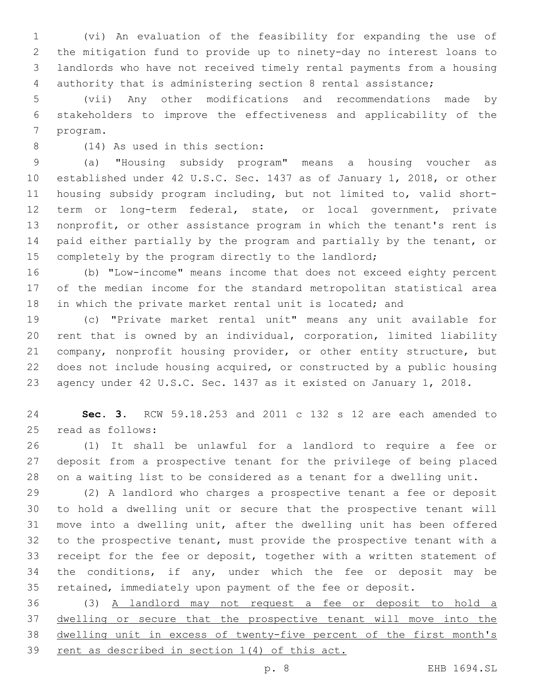(vi) An evaluation of the feasibility for expanding the use of the mitigation fund to provide up to ninety-day no interest loans to landlords who have not received timely rental payments from a housing authority that is administering section 8 rental assistance;

 (vii) Any other modifications and recommendations made by stakeholders to improve the effectiveness and applicability of the 7 program.

(14) As used in this section:8

 (a) "Housing subsidy program" means a housing voucher as established under 42 U.S.C. Sec. 1437 as of January 1, 2018, or other housing subsidy program including, but not limited to, valid short- term or long-term federal, state, or local government, private nonprofit, or other assistance program in which the tenant's rent is paid either partially by the program and partially by the tenant, or 15 completely by the program directly to the landlord;

 (b) "Low-income" means income that does not exceed eighty percent of the median income for the standard metropolitan statistical area in which the private market rental unit is located; and

 (c) "Private market rental unit" means any unit available for rent that is owned by an individual, corporation, limited liability company, nonprofit housing provider, or other entity structure, but does not include housing acquired, or constructed by a public housing agency under 42 U.S.C. Sec. 1437 as it existed on January 1, 2018.

 **Sec. 3.** RCW 59.18.253 and 2011 c 132 s 12 are each amended to 25 read as follows:

 (1) It shall be unlawful for a landlord to require a fee or deposit from a prospective tenant for the privilege of being placed on a waiting list to be considered as a tenant for a dwelling unit.

 (2) A landlord who charges a prospective tenant a fee or deposit to hold a dwelling unit or secure that the prospective tenant will move into a dwelling unit, after the dwelling unit has been offered to the prospective tenant, must provide the prospective tenant with a receipt for the fee or deposit, together with a written statement of the conditions, if any, under which the fee or deposit may be retained, immediately upon payment of the fee or deposit.

 (3) A landlord may not request a fee or deposit to hold a dwelling or secure that the prospective tenant will move into the dwelling unit in excess of twenty-five percent of the first month's rent as described in section 1(4) of this act.